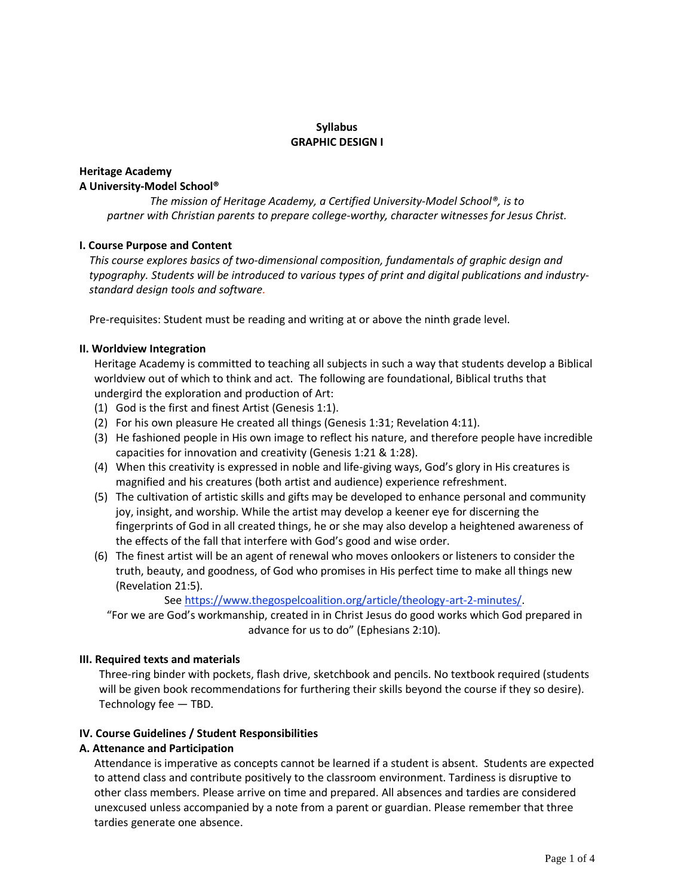### **Syllabus GRAPHIC DESIGN I**

# **Heritage Academy A University-Model School®**

*The mission of Heritage Academy, a Certified University-Model School®, is to partner with Christian parents to prepare college-worthy, character witnesses for Jesus Christ.*

# **I. Course Purpose and Content**

*This course explores basics of two-dimensional composition, fundamentals of graphic design and typography. Students will be introduced to various types of print and digital publications and industrystandard design tools and software.*

Pre-requisites: Student must be reading and writing at or above the ninth grade level.

### **II. Worldview Integration**

Heritage Academy is committed to teaching all subjects in such a way that students develop a Biblical worldview out of which to think and act. The following are foundational, Biblical truths that undergird the exploration and production of Art:

- (1) God is the first and finest Artist (Genesis 1:1).
- (2) For his own pleasure He created all things (Genesis 1:31; Revelation 4:11).
- (3) He fashioned people in His own image to reflect his nature, and therefore people have incredible capacities for innovation and creativity (Genesis 1:21 & 1:28).
- (4) When this creativity is expressed in noble and life-giving ways, God's glory in His creatures is magnified and his creatures (both artist and audience) experience refreshment.
- (5) The cultivation of artistic skills and gifts may be developed to enhance personal and community joy, insight, and worship. While the artist may develop a keener eye for discerning the fingerprints of God in all created things, he or she may also develop a heightened awareness of the effects of the fall that interfere with God's good and wise order.
- (6) The finest artist will be an agent of renewal who moves onlookers or listeners to consider the truth, beauty, and [goodness,](https://www.thegospelcoalition.org/article/theology-art-2-minutes/) of God who promises in His perfect time to make all things new (Revelation 21:5).

### See https://www.thegospelcoalition.org/article/theology-art-2-minutes/.

"For we are God's workmanship, created in in Christ Jesus do good works which God prepared in advance for us to do" (Ephesians 2:10).

### **III. Required texts and materials**

Three-ring binder with pockets, flash drive, sketchbook and pencils. No textbook required (students will be given book recommendations for furthering their skills beyond the course if they so desire). Technology fee — TBD.

### **IV. Course Guidelines / Student Responsibilities**

### **A. Attenance and Participation**

Attendance is imperative as concepts cannot be learned if a student is absent. Students are expected to attend class and contribute positively to the classroom environment. Tardiness is disruptive to other class members. Please arrive on time and prepared. All absences and tardies are considered unexcused unless accompanied by a note from a parent or guardian. Please remember that three tardies generate one absence.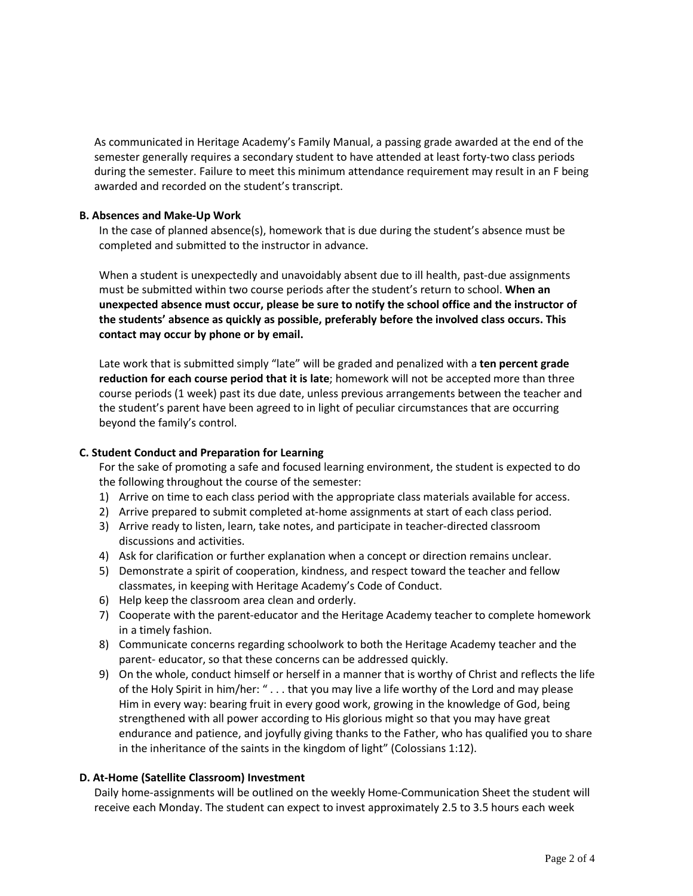As communicated in Heritage Academy's Family Manual, a passing grade awarded at the end of the semester generally requires a secondary student to have attended at least forty-two class periods during the semester. Failure to meet this minimum attendance requirement may result in an F being awarded and recorded on the student's transcript.

### **B. Absences and Make-Up Work**

In the case of planned absence(s), homework that is due during the student's absence must be completed and submitted to the instructor in advance.

When a student is unexpectedly and unavoidably absent due to ill health, past-due assignments must be submitted within two course periods after the student's return to school. **When an unexpected absence must occur, please be sure to notify the school office and the instructor of the students' absence as quickly as possible, preferably before the involved class occurs. This contact may occur by phone or by email.**

Late work that is submitted simply "late" will be graded and penalized with a **ten percent grade reduction for each course period that it is late**; homework will not be accepted more than three course periods (1 week) past its due date, unless previous arrangements between the teacher and the student's parent have been agreed to in light of peculiar circumstances that are occurring beyond the family's control.

### **C. Student Conduct and Preparation for Learning**

For the sake of promoting a safe and focused learning environment, the student is expected to do the following throughout the course of the semester:

- 1) Arrive on time to each class period with the appropriate class materials available for access.
- 2) Arrive prepared to submit completed at-home assignments at start of each class period.
- 3) Arrive ready to listen, learn, take notes, and participate in teacher-directed classroom discussions and activities.
- 4) Ask for clarification or further explanation when a concept or direction remains unclear.
- 5) Demonstrate a spirit of cooperation, kindness, and respect toward the teacher and fellow classmates, in keeping with Heritage Academy's Code of Conduct.
- 6) Help keep the classroom area clean and orderly.
- 7) Cooperate with the parent-educator and the Heritage Academy teacher to complete homework in a timely fashion.
- 8) Communicate concerns regarding schoolwork to both the Heritage Academy teacher and the parent- educator, so that these concerns can be addressed quickly.
- 9) On the whole, conduct himself or herself in a manner that is worthy of Christ and reflects the life of the Holy Spirit in him/her: " . . . that you may live a life worthy of the Lord and may please Him in every way: bearing fruit in every good work, growing in the knowledge of God, being strengthened with all power according to His glorious might so that you may have great endurance and patience, and joyfully giving thanks to the Father, who has qualified you to share in the inheritance of the saints in the kingdom of light" (Colossians 1:12).

# **D. At-Home (Satellite Classroom) Investment**

Daily home-assignments will be outlined on the weekly Home-Communication Sheet the student will receive each Monday. The student can expect to invest approximately 2.5 to 3.5 hours each week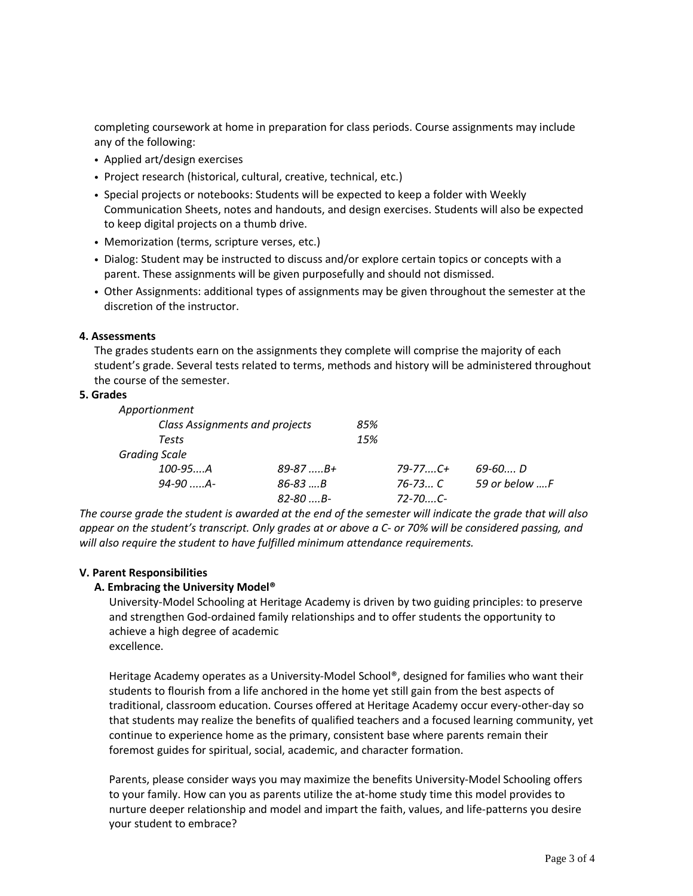completing coursework at home in preparation for class periods. Course assignments may include any of the following:

- Applied art/design exercises
- Project research (historical, cultural, creative, technical, etc.)
- Special projects or notebooks: Students will be expected to keep a folder with Weekly Communication Sheets, notes and handouts, and design exercises. Students will also be expected to keep digital projects on a thumb drive.
- Memorization (terms, scripture verses, etc.)
- Dialog: Student may be instructed to discuss and/or explore certain topics or concepts with a parent. These assignments will be given purposefully and should not dismissed.
- Other Assignments: additional types of assignments may be given throughout the semester at the discretion of the instructor.

### **4. Assessments**

The grades students earn on the assignments they complete will comprise the majority of each student's grade. Several tests related to terms, methods and history will be administered throughout the course of the semester.

### **5. Grades**

| Apportionment                  |                 |     |                 |               |
|--------------------------------|-----------------|-----|-----------------|---------------|
| Class Assignments and projects |                 | 85% |                 |               |
| Tests                          |                 | 15% |                 |               |
| <b>Grading Scale</b>           |                 |     |                 |               |
| $100 - 95$ A                   | $89 - 87$ $B +$ |     | $79 - 77$ $C +$ | 69-60 D       |
| $94 - 90$ $A -$                | $86 - 83$ B     |     | $76 - 73 C$     | 59 or below F |
|                                | $82 - 80$ , B-  |     | $72 - 70$ C-    |               |

The course grade the student is awarded at the end of the semester will indicate the grade that will also appear on the student's transcript. Only grades at or above a C- or 70% will be considered passing, and *will also require the student to have fulfilled minimum attendance requirements.*

### **V. Parent Responsibilities**

# **A. Embracing the University Model®**

University-Model Schooling at Heritage Academy is driven by two guiding principles: to preserve and strengthen God-ordained family relationships and to offer students the opportunity to achieve a high degree of academic excellence.

Heritage Academy operates as a University-Model School®, designed for families who want their students to flourish from a life anchored in the home yet still gain from the best aspects of traditional, classroom education. Courses offered at Heritage Academy occur every-other-day so that students may realize the benefits of qualified teachers and a focused learning community, yet continue to experience home as the primary, consistent base where parents remain their foremost guides for spiritual, social, academic, and character formation.

Parents, please consider ways you may maximize the benefits University-Model Schooling offers to your family. How can you as parents utilize the at-home study time this model provides to nurture deeper relationship and model and impart the faith, values, and life-patterns you desire your student to embrace?